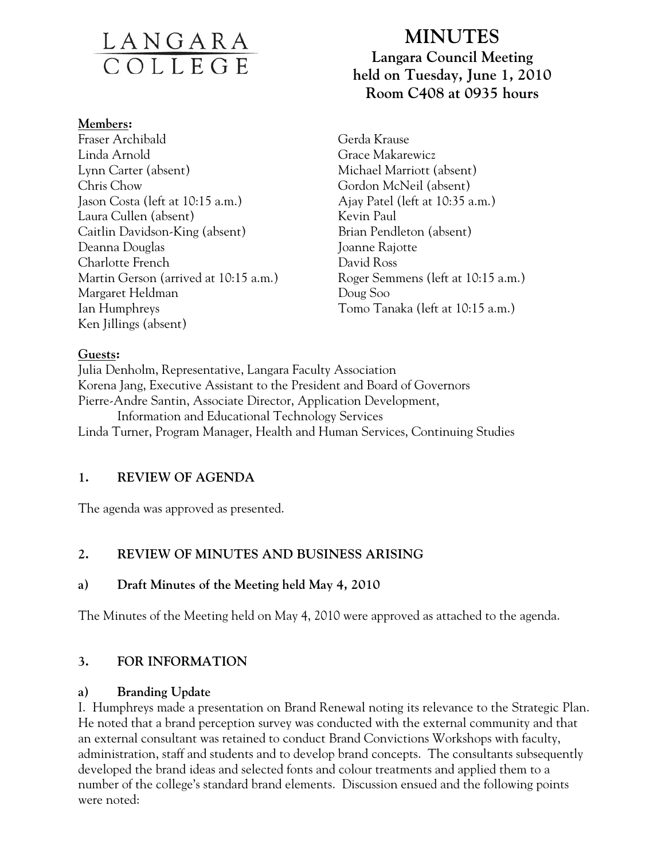# <u>LANGARA</u>

#### **Members:**

Fraser Archibald Linda Arnold Lynn Carter (absent) Chris Chow Jason Costa (left at 10:15 a.m.) Laura Cullen (absent) Caitlin Davidson-King (absent) Deanna Douglas Charlotte French Martin Gerson (arrived at 10:15 a.m.) Margaret Heldman Ian Humphreys Ken Jillings (absent)

# **MINUTES Langara Council Meeting held on Tuesday, June 1, 2010 Room C408 at 0935 hours**

Gerda Krause Grace Makarewicz Michael Marriott (absent) Gordon McNeil (absent) Ajay Patel (left at 10:35 a.m.) Kevin Paul Brian Pendleton (absent) Joanne Rajotte David Ross Roger Semmens (left at 10:15 a.m.) Doug Soo Tomo Tanaka (left at 10:15 a.m.)

### **Guests:**

Julia Denholm, Representative, Langara Faculty Association Korena Jang, Executive Assistant to the President and Board of Governors Pierre-Andre Santin, Associate Director, Application Development, Information and Educational Technology Services Linda Turner, Program Manager, Health and Human Services, Continuing Studies

# **1. REVIEW OF AGENDA**

The agenda was approved as presented.

# **2. REVIEW OF MINUTES AND BUSINESS ARISING**

### **a) Draft Minutes of the Meeting held May 4, 2010**

The Minutes of the Meeting held on May 4, 2010 were approved as attached to the agenda.

# **3. FOR INFORMATION**

### **a) Branding Update**

I. Humphreys made a presentation on Brand Renewal noting its relevance to the Strategic Plan. He noted that a brand perception survey was conducted with the external community and that an external consultant was retained to conduct Brand Convictions Workshops with faculty, administration, staff and students and to develop brand concepts. The consultants subsequently developed the brand ideas and selected fonts and colour treatments and applied them to a number of the college's standard brand elements. Discussion ensued and the following points were noted: